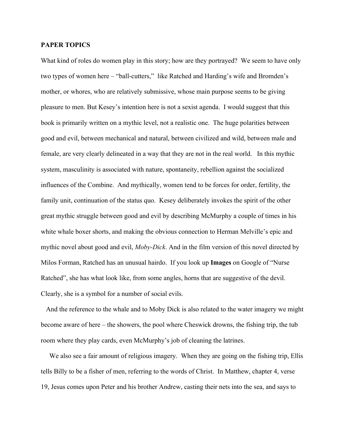## **PAPER TOPICS**

What kind of roles do women play in this story; how are they portrayed? We seem to have only two types of women here – "ball-cutters," like Ratched and Harding's wife and Bromden's mother, or whores, who are relatively submissive, whose main purpose seems to be giving pleasure to men. But Kesey's intention here is not a sexist agenda. I would suggest that this book is primarily written on a mythic level, not a realistic one. The huge polarities between good and evil, between mechanical and natural, between civilized and wild, between male and female, are very clearly delineated in a way that they are not in the real world. In this mythic system, masculinity is associated with nature, spontaneity, rebellion against the socialized influences of the Combine. And mythically, women tend to be forces for order, fertility, the family unit, continuation of the status quo. Kesey deliberately invokes the spirit of the other great mythic struggle between good and evil by describing McMurphy a couple of times in his white whale boxer shorts, and making the obvious connection to Herman Melville's epic and mythic novel about good and evil, *Moby-Dick*. And in the film version of this novel directed by Milos Forman, Ratched has an unusual hairdo. If you look up **Images** on Google of "Nurse Ratched", she has what look like, from some angles, horns that are suggestive of the devil. Clearly, she is a symbol for a number of social evils.

 And the reference to the whale and to Moby Dick is also related to the water imagery we might become aware of here – the showers, the pool where Cheswick drowns, the fishing trip, the tub room where they play cards, even McMurphy's job of cleaning the latrines.

We also see a fair amount of religious imagery. When they are going on the fishing trip, Ellis tells Billy to be a fisher of men, referring to the words of Christ. In Matthew, chapter 4, verse 19, Jesus comes upon Peter and his brother Andrew, casting their nets into the sea, and says to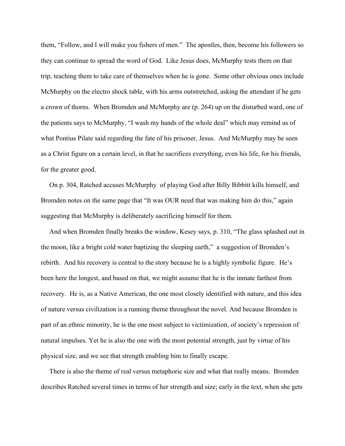them, "Follow, and I will make you fishers of men." The apostles, then, become his followers so they can continue to spread the word of God. Like Jesus does, McMurphy tests them on that trip, teaching them to take care of themselves when he is gone. Some other obvious ones include McMurphy on the electro shock table, with his arms outstretched, asking the attendant if he gets a crown of thorns. When Bromden and McMurphy are (p. 264) up on the disturbed ward, one of the patients says to McMurphy, "I wash my hands of the whole deal" which may remind us of what Pontius Pilate said regarding the fate of his prisoner, Jesus. And McMurphy may be seen as a Christ figure on a certain level, in that he sacrifices everything, even his life, for his friends, for the greater good.

 On p. 304, Ratched accuses McMurphy of playing God after Billy Bibbitt kills himself, and Bromden notes on the same page that "It was OUR need that was making him do this," again suggesting that McMurphy is deliberately sacrificing himself for them.

 And when Bromden finally breaks the window, Kesey says, p. 310, "The glass splashed out in the moon, like a bright cold water baptizing the sleeping earth," a suggestion of Bromden's rebirth. And his recovery is central to the story because he is a highly symbolic figure. He's been here the longest, and based on that, we might assume that he is the inmate farthest from recovery. He is, as a Native American, the one most closely identified with nature, and this idea of nature versus civilization is a running theme throughout the novel. And because Bromden is part of an ethnic minority, he is the one most subject to victimization, of society's repression of natural impulses. Yet he is also the one with the most potential strength, just by virtue of his physical size, and we see that strength enabling him to finally escape.

 There is also the theme of real versus metaphoric size and what that really means. Bromden describes Ratched several times in terms of her strength and size; early in the text, when she gets